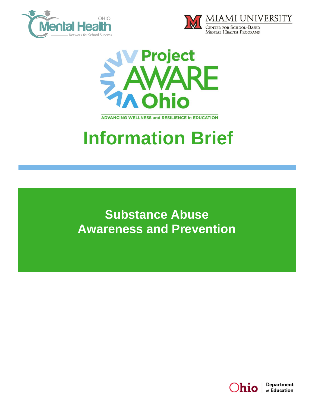





**ADVANCING WELLNESS and RESILIENCE In EDUCATION** 

# **Information Brief**

**Substance Abuse Awareness and Prevention**

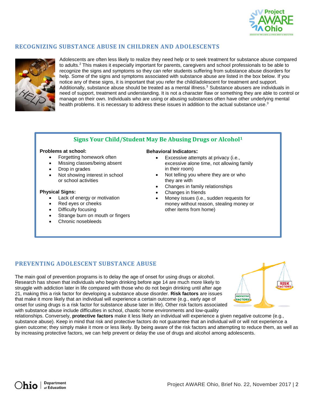

# **RECOGNIZING SUBSTANCE ABUSE IN CHILDREN AND ADOLESCENTS**



Adolescents are often less likely to realize they need help or to seek treatment for substance abuse compared to adults.<sup>2</sup> This makes it especially important for parents, caregivers and school professionals to be able to recognize the signs and symptoms so they can refer students suffering from substance abuse disorders for help. Some of the signs and symptoms associated with substance abuse are listed in the box below. If you notice any of these signs, it is important that you refer the child/adolescent for treatment and support. Additionally, substance abuse should be treated as a mental illness.<sup>3</sup> Substance abusers are individuals in need of support, treatment and understanding. It is not a character flaw or something they are able to control or manage on their own. Individuals who are using or abusing substances often have other underlying mental health problems. It is necessary to address these issues in addition to the actual substance use.<sup>3</sup>

## **Signs Your Child/Student May Be Abusing Drugs or Alcohol<sup>1</sup>**

## **Problems at school:**

- Forgetting homework often
- Missing classes/being absent
- Drop in grades
- Not showing interest in school or school activities

#### **Physical Signs:**

- Lack of energy or motivation
- Red eyes or cheeks
- Difficulty focusing
- Strange burn on mouth or fingers
- Chronic nosebleeds

### **Behavioral Indicators:**

- **Excessive attempts at privacy (i.e.,** excessive alone time, not allowing family in their room)
- Not telling you where they are or who they are with
- Changes in family relationships
- Changes in friends
- Money issues (i.e., sudden requests for money without reason, stealing money or other items from home)

## **PREVENTING ADOLESCENT SUBSTANCE ABUSE**

The main goal of prevention programs is to delay the age of onset for using drugs or alcohol. Research has shown that individuals who begin drinking before age 14 are much more likely to struggle with addiction later in life compared with those who do not begin drinking until after age 21, making this a risk factor for developing a substance abuse disorder. **Risk factors** are issues that make it more likely that an individual will experience a certain outcome (e.g., early age of onset for using drugs is a risk factor for substance abuse later in life). Other risk factors associated with substance abuse include difficulties in school, chaotic home environments and low-quality



relationships. Conversely, **protective factors** make it less likely an individual will experience a given negative outcome (e.g., substance abuse). Keep in mind that risk and protective factors do not guarantee that an individual will or will not experience a given outcome; they simply make it more or less likely. By being aware of the risk factors and attempting to reduce them, as well as by increasing protective factors, we can help prevent or delay the use of drugs and alcohol among adolescents.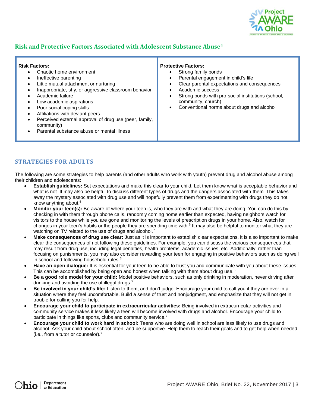

# **Risk and Protective Factors Associated with Adolescent Substance Abuse<sup>4</sup>**

#### **Risk Factors:**

- Chaotic home environment
- Ineffective parenting
- Little mutual attachment or nurturing
- Inappropriate, shy, or aggressive classroom behavior
- Academic failure
- Low academic aspirations
- Poor social coping skills
- Affiliations with deviant peers
- Perceived external approval of drug use (peer, family, community)
- Parental substance abuse or mental illness

#### **Protective Factors:**

- Strong family bonds
- Parental engagement in child's life
- Clear parental expectations and consequences
- Academic success
- Strong bonds with pro-social institutions (school, community, church)
- Conventional norms about drugs and alcohol

## **STRATEGIES FOR ADULTS**

The following are some strategies to help parents (and other adults who work with youth) prevent drug and alcohol abuse among their children and adolescents:

- **Establish guidelines:** Set expectations and make this clear to your child. Let them know what is acceptable behavior and what is not. It may also be helpful to discuss different types of drugs and the dangers associated with them. This takes away the mystery associated with drug use and will hopefully prevent them from experimenting with drugs they do not know anything about.<sup>6</sup>
- **Monitor your teen(s):** Be aware of where your teen is, who they are with and what they are doing. You can do this by checking in with them through phone calls, randomly coming home earlier than expected, having neighbors watch for visitors to the house while you are gone and monitoring the levels of prescription drugs in your home. Also, watch for changes in your teen's habits or the people they are spending time with.<sup>6</sup> It may also be helpful to monitor what they are watching on TV related to the use of drugs and alcohol.<sup>7</sup>
- **Make consequences of drug use clear:** Just as it is important to establish clear expectations, it is also important to make clear the consequences of not following these guidelines. For example, you can discuss the various consequences that may result from drug use, including legal penalties, health problems, academic issues, etc. Additionally, rather than focusing on punishments, you may also consider rewarding your teen for engaging in positive behaviors such as doing well in school and following household rules.<sup>6</sup>
- **Have an open dialogue:** It is essential for your teen to be able to trust you and communicate with you about these issues. This can be accomplished by being open and honest when talking with them about drug use. $6$
- **Be a good role model for your child:** Model positive behaviors, such as only drinking in moderation, never driving after drinking and avoiding the use of illegal drugs.<sup>7</sup>
- **Be involved in your child's life:** Listen to them, and don't judge. Encourage your child to call you if they are ever in a situation where they feel uncomfortable. Build a sense of trust and nonjudgment, and emphasize that they will not get in trouble for calling you for help.
- **Encourage your child to participate in extracurricular activities:** Being involved in extracurricular activities and community service makes it less likely a teen will become involved with drugs and alcohol. Encourage your child to participate in things like sports, clubs and community service.<sup>7</sup>
- **Encourage your child to work hard in school:** Teens who are doing well in school are less likely to use drugs and alcohol. Ask your child about school often, and be supportive. Help them to reach their goals and to get help when needed (i.e., from a tutor or counselor).7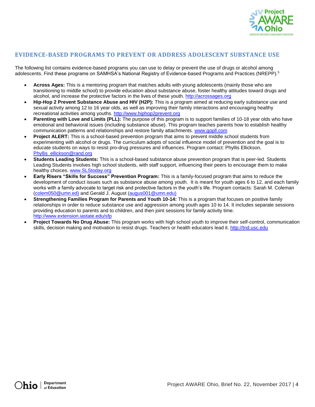

## **EVIDENCE-BASED PROGRAMS TO PREVENT OR ADDRESS ADOLESCENT SUBSTANCE USE**

The following list contains evidence-based programs you can use to delay or prevent the use of drugs or alcohol among adolescents. Find these programs on SAMHSA's National Registry of Evidence-based Programs and Practices (NREPP).<sup>5</sup>

- **Across Ages:** This is a mentoring program that matches adults with young adolescents (mainly those who are transitioning to middle school) to provide education about substance abuse, foster healthy attitudes toward drugs and alcohol, and increase the protective factors in the lives of these youth[. http://acrossages.org](http://acrossages.org/)
- **Hip-Hop 2 Prevent Substance Abuse and HIV (H2P):** This is a program aimed at reducing early substance use and sexual activity among 12 to 16 year olds, as well as improving their family interactions and encouraging healthy recreational activities among youths. [http://www.hiphop2prevent.org](http://www.hiphop2prevent.org/)
- **Parenting with Love and Limits (PLL):** The purpose of this program is to support families of 10-18 year olds who have emotional and behavioral issues (including substance abuse). This program teaches parents how to establish healthy communication patterns and relationships and restore family attachments. [www.gopll.com](http://www.gopll.com/)
- **Project ALERT:** This is a school-based prevention program that aims to prevent middle school students from experimenting with alcohol or drugs. The curriculum adopts of social influence model of prevention and the goal is to educate students on ways to resist pro-drug pressures and influences. Program contact: Phyllis Ellickson, [Phyllis\\_ellickson@rand.org](mailto:Phyllis_ellickson@rand.org)
- **Students Leading Students:** This is a school-based substance abuse prevention program that is peer-led. Students Leading Students involves high school students, with staff support, influencing their peers to encourage them to make healthy choices. [www.SLStoday.org](http://www.slstoday.org/)
- **Early Risers "Skills for Success" Prevention Program:** This is a family-focused program that aims to reduce the development of conduct issues such as substance abuse among youth. It is meant for youth ages 6 to 12, and each family works with a family advocate to target risk and protective factors in the youth's life. Program contacts: Sarah M. Coleman [\(colem050@umn.ed\)](mailto:colem050@umn.ed)) and Gerald J. August [\(augus001@umn.edu\)](mailto:augus001@umn.edu))
- **Strengthening Families Program for Parents and Youth 10-14:** This is a program that focuses on positive family relationships in order to reduce substance use and aggression among youth ages 10 to 14. It includes separate sessions providing education to parents and to children, and then joint sessions for family activity time. <http://www.extension.iastate.edu/sfp>
- **Project Towards No Drug Abuse:** This program works with high school youth to improve their self-control, communication skills, decision making and motivation to resist drugs. Teachers or health educators lead it. [http://tnd.usc.edu](http://tnd.usc.edu/)